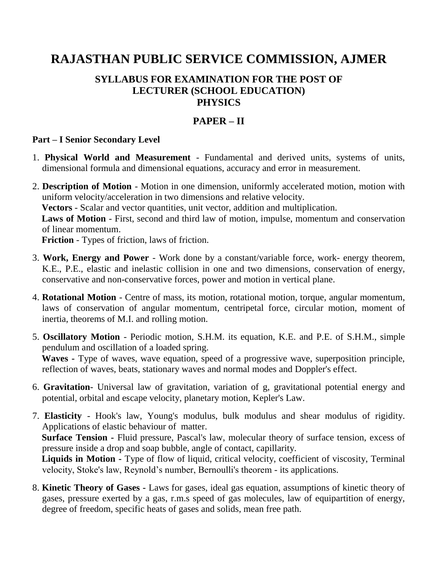# **RAJASTHAN PUBLIC SERVICE COMMISSION, AJMER**

## **SYLLABUS FOR EXAMINATION FOR THE POST OF LECTURER (SCHOOL EDUCATION) PHYSICS**

#### **PAPER – II**

#### **Part – I Senior Secondary Level**

- 1. **Physical World and Measurement**  Fundamental and derived units, systems of units, dimensional formula and dimensional equations, accuracy and error in measurement.
- 2. **Description of Motion**  Motion in one dimension, uniformly accelerated motion, motion with uniform velocity/acceleration in two dimensions and relative velocity.

**Vectors** - Scalar and vector quantities, unit vector, addition and multiplication.

Laws of Motion - First, second and third law of motion, impulse, momentum and conservation of linear momentum.

**Friction** - Types of friction, laws of friction.

- 3. **Work, Energy and Power**  Work done by a constant/variable force, work- energy theorem, K.E., P.E., elastic and inelastic collision in one and two dimensions, conservation of energy, conservative and non-conservative forces, power and motion in vertical plane.
- 4. **Rotational Motion**  Centre of mass, its motion, rotational motion, torque, angular momentum, laws of conservation of angular momentum, centripetal force, circular motion, moment of inertia, theorems of M.I. and rolling motion.
- 5. **Oscillatory Motion**  Periodic motion, S.H.M. its equation, K.E. and P.E. of S.H.M., simple pendulum and oscillation of a loaded spring. **Waves -** Type of waves, wave equation, speed of a progressive wave, superposition principle, reflection of waves, beats, stationary waves and normal modes and Doppler's effect.
- 6. **Gravitation** Universal law of gravitation, variation of g, gravitational potential energy and potential, orbital and escape velocity, planetary motion, Kepler's Law.
- 7. **Elasticity**  Hook's law, Young's modulus, bulk modulus and shear modulus of rigidity. Applications of elastic behaviour of matter.  **Surface Tension -** Fluid pressure, Pascal's law, molecular theory of surface tension, excess of pressure inside a drop and soap bubble, angle of contact, capillarity.  **Liquids in Motion -** Type of flow of liquid, critical velocity, coefficient of viscosity, Terminal

velocity, Stoke's law, Reynold's number, Bernoulli's theorem - its applications.

8. **Kinetic Theory of Gases -** Laws for gases, ideal gas equation, assumptions of kinetic theory of gases, pressure exerted by a gas, r.m.s speed of gas molecules, law of equipartition of energy, degree of freedom, specific heats of gases and solids, mean free path.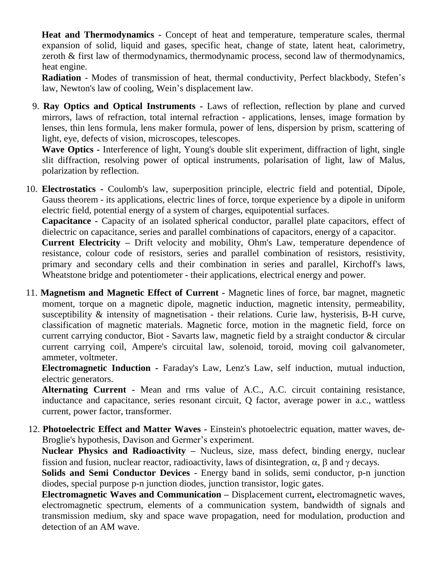**Heat and Thermodynamics -** Concept of heat and temperature, temperature scales, thermal expansion of solid, liquid and gases, specific heat, change of state, latent heat, calorimetry, zeroth & first law of thermodynamics, thermodynamic process, second law of thermodynamics, heat engine.

 **Radiation** - Modes of transmission of heat, thermal conductivity, Perfect blackbody, Stefen's law, Newton's law of cooling, Wein's displacement law.

9. **Ray Optics and Optical Instruments -** Laws of reflection, reflection by plane and curved mirrors, laws of refraction, total internal refraction - applications, lenses, image formation by lenses, thin lens formula, lens maker formula, power of lens, dispersion by prism, scattering of light, eye, defects of vision, microscopes, telescopes.

 **Wave Optics -** Interference of light, Young's double slit experiment, diffraction of light, single slit diffraction, resolving power of optical instruments, polarisation of light, law of Malus, polarization by reflection.

10. **Electrostatics -** Coulomb's law, superposition principle, electric field and potential, Dipole, Gauss theorem - its applications, electric lines of force, torque experience by a dipole in uniform electric field, potential energy of a system of charges, equipotential surfaces.

 **Capacitance -** Capacity of an isolated spherical conductor, parallel plate capacitors, effect of dielectric on capacitance, series and parallel combinations of capacitors, energy of a capacitor.

 **Current Electricity –** Drift velocity and mobility, Ohm's Law, temperature dependence of resistance, colour code of resistors, series and parallel combination of resistors, resistivity, primary and secondary cells and their combination in series and parallel, Kirchoff's laws, Wheatstone bridge and potentiometer - their applications, electrical energy and power.

11. **Magnetism and Magnetic Effect of Current -** Magnetic lines of force, bar magnet, magnetic moment, torque on a magnetic dipole, magnetic induction, magnetic intensity, permeability, susceptibility & intensity of magnetisation - their relations. Curie law, hysterisis, B-H curve, classification of magnetic materials. Magnetic force, motion in the magnetic field, force on current carrying conductor, Biot - Savarts law, magnetic field by a straight conductor & circular current carrying coil, Ampere's circuital law, solenoid, toroid, moving coil galvanometer, ammeter, voltmeter.

 **Electromagnetic Induction -** Faraday's Law, Lenz's Law, self induction, mutual induction, electric generators.

 **Alternating Current -** Mean and rms value of A.C., A.C. circuit containing resistance, inductance and capacitance, series resonant circuit, Q factor, average power in a.c., wattless current, power factor, transformer.

12. **Photoelectric Effect and Matter Waves -** Einstein's photoelectric equation, matter waves, de-Broglie's hypothesis, Davison and Germer's experiment.

 **Nuclear Physics and Radioactivity –** Nucleus, size, mass defect, binding energy, nuclear fission and fusion, nuclear reactor, radioactivity, laws of disintegration,  $\alpha$ ,  $\beta$  and  $\gamma$  decays.

 **Solids and Semi Conductor Devices** - Energy band in solids, semi conductor, p-n junction diodes, special purpose p-n junction diodes, junction transistor, logic gates.

 **Electromagnetic Waves and Communication –** Displacement current**,** electromagnetic waves, electromagnetic spectrum, elements of a communication system, bandwidth of signals and transmission medium, sky and space wave propagation, need for modulation, production and detection of an AM wave.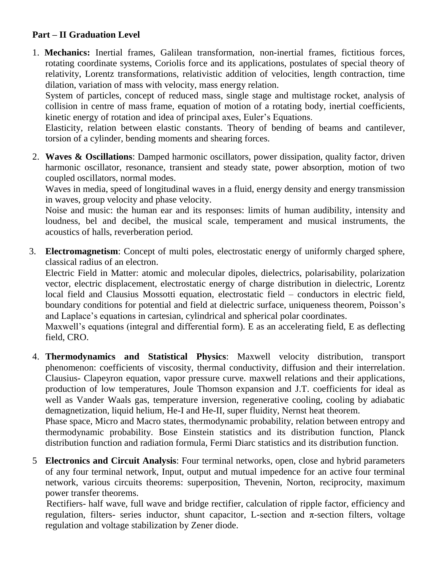## **Part – II Graduation Level**

1. **Mechanics:** Inertial frames, Galilean transformation, non-inertial frames, fictitious forces, rotating coordinate systems, Coriolis force and its applications, postulates of special theory of relativity, Lorentz transformations, relativistic addition of velocities, length contraction, time dilation, variation of mass with velocity, mass energy relation.

System of particles, concept of reduced mass, single stage and multistage rocket, analysis of collision in centre of mass frame, equation of motion of a rotating body, inertial coefficients, kinetic energy of rotation and idea of principal axes, Euler's Equations.

Elasticity, relation between elastic constants. Theory of bending of beams and cantilever, torsion of a cylinder, bending moments and shearing forces.

2. **Waves & Oscillations**: Damped harmonic oscillators, power dissipation, quality factor, driven harmonic oscillator, resonance, transient and steady state, power absorption, motion of two coupled oscillators, normal modes.

Waves in media, speed of longitudinal waves in a fluid, energy density and energy transmission in waves, group velocity and phase velocity.

Noise and music: the human ear and its responses: limits of human audibility, intensity and loudness, bel and decibel, the musical scale, temperament and musical instruments, the acoustics of halls, reverberation period.

3. **Electromagnetism**: Concept of multi poles, electrostatic energy of uniformly charged sphere, classical radius of an electron.

Electric Field in Matter: atomic and molecular dipoles, dielectrics, polarisability, polarization vector, electric displacement, electrostatic energy of charge distribution in dielectric, Lorentz local field and Clausius Mossotti equation, electrostatic field – conductors in electric field, boundary conditions for potential and field at dielectric surface, uniqueness theorem, Poisson's and Laplace's equations in cartesian, cylindrical and spherical polar coordinates.

Maxwell's equations (integral and differential form). E as an accelerating field, E as deflecting field, CRO.

4. **Thermodynamics and Statistical Physics**: Maxwell velocity distribution, transport phenomenon: coefficients of viscosity, thermal conductivity, diffusion and their interrelation. Clausius- Clapeyron equation, vapor pressure curve. maxwell relations and their applications, production of low temperatures, Joule Thomson expansion and J.T. coefficients for ideal as well as Vander Waals gas, temperature inversion, regenerative cooling, cooling by adiabatic demagnetization, liquid helium, He-I and He-II, super fluidity, Nernst heat theorem.

Phase space, Micro and Macro states, thermodynamic probability, relation between entropy and thermodynamic probability. Bose Einstein statistics and its distribution function, Planck distribution function and radiation formula, Fermi Diarc statistics and its distribution function.

5 **Electronics and Circuit Analysis**: Four terminal networks, open, close and hybrid parameters of any four terminal network, Input, output and mutual impedence for an active four terminal network, various circuits theorems: superposition, Thevenin, Norton, reciprocity, maximum power transfer theorems.

 Rectifiers- half wave, full wave and bridge rectifier, calculation of ripple factor, efficiency and regulation, filters- series inductor, shunt capacitor, L-section and π-section filters, voltage regulation and voltage stabilization by Zener diode.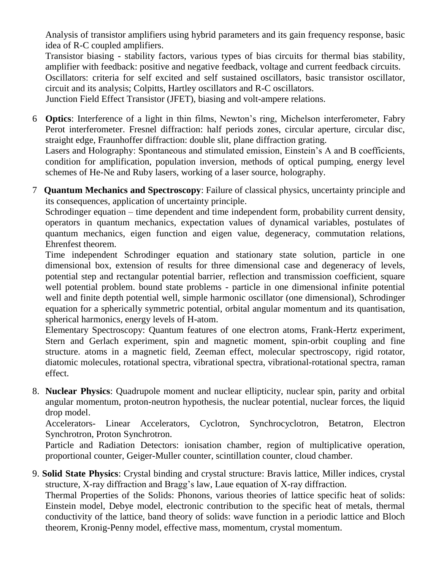Analysis of transistor amplifiers using hybrid parameters and its gain frequency response, basic idea of R-C coupled amplifiers.

Transistor biasing - stability factors, various types of bias circuits for thermal bias stability, amplifier with feedback: positive and negative feedback, voltage and current feedback circuits. Oscillators: criteria for self excited and self sustained oscillators, basic transistor oscillator, circuit and its analysis; Colpitts, Hartley oscillators and R-C oscillators.

Junction Field Effect Transistor (JFET), biasing and volt-ampere relations.

6 **Optics**: Interference of a light in thin films, Newton's ring, Michelson interferometer, Fabry Perot interferometer. Fresnel diffraction: half periods zones, circular aperture, circular disc, straight edge, Fraunhoffer diffraction: double slit, plane diffraction grating.

Lasers and Holography: Spontaneous and stimulated emission, Einstein's A and B coefficients, condition for amplification, population inversion, methods of optical pumping, energy level schemes of He-Ne and Ruby lasers, working of a laser source, holography.

7 **Quantum Mechanics and Spectroscopy**: Failure of classical physics, uncertainty principle and its consequences, application of uncertainty principle.

Schrodinger equation – time dependent and time independent form, probability current density, operators in quantum mechanics, expectation values of dynamical variables, postulates of quantum mechanics, eigen function and eigen value, degeneracy, commutation relations, Ehrenfest theorem.

Time independent Schrodinger equation and stationary state solution, particle in one dimensional box, extension of results for three dimensional case and degeneracy of levels, potential step and rectangular potential barrier, reflection and transmission coefficient, square well potential problem. bound state problems - particle in one dimensional infinite potential well and finite depth potential well, simple harmonic oscillator (one dimensional), Schrodinger equation for a spherically symmetric potential, orbital angular momentum and its quantisation, spherical harmonics, energy levels of H-atom.

Elementary Spectroscopy: Quantum features of one electron atoms, Frank-Hertz experiment, Stern and Gerlach experiment, spin and magnetic moment, spin-orbit coupling and fine structure. atoms in a magnetic field, Zeeman effect, molecular spectroscopy, rigid rotator, diatomic molecules, rotational spectra, vibrational spectra, vibrational-rotational spectra, raman effect.

8. **Nuclear Physics**: Quadrupole moment and nuclear ellipticity, nuclear spin, parity and orbital angular momentum, proton-neutron hypothesis, the nuclear potential, nuclear forces, the liquid drop model.

Accelerators- Linear Accelerators, Cyclotron, Synchrocyclotron, Betatron, Electron Synchrotron, Proton Synchrotron.

Particle and Radiation Detectors: ionisation chamber, region of multiplicative operation, proportional counter, Geiger-Muller counter, scintillation counter, cloud chamber.

9. **Solid State Physics**: Crystal binding and crystal structure: Bravis lattice, Miller indices, crystal structure, X-ray diffraction and Bragg's law, Laue equation of X-ray diffraction.

Thermal Properties of the Solids: Phonons, various theories of lattice specific heat of solids: Einstein model, Debye model, electronic contribution to the specific heat of metals, thermal conductivity of the lattice, band theory of solids: wave function in a periodic lattice and Bloch theorem, Kronig-Penny model, effective mass, momentum, crystal momentum.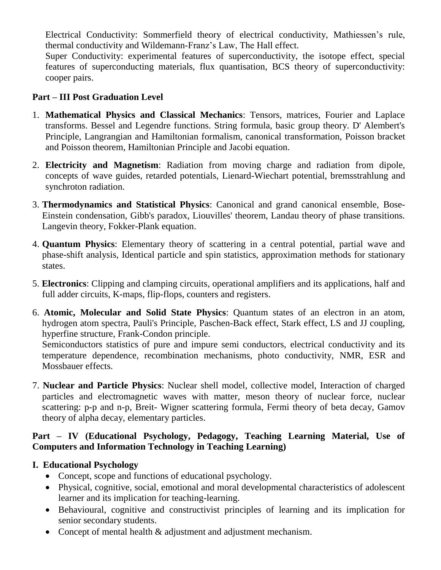Electrical Conductivity: Sommerfield theory of electrical conductivity, Mathiessen's rule, thermal conductivity and Wildemann-Franz's Law, The Hall effect.

Super Conductivity: experimental features of superconductivity, the isotope effect, special features of superconducting materials, flux quantisation, BCS theory of superconductivity: cooper pairs.

#### **Part – III Post Graduation Level**

- 1. **Mathematical Physics and Classical Mechanics**: Tensors, matrices, Fourier and Laplace transforms. Bessel and Legendre functions. String formula, basic group theory. D' Alembert's Principle, Langrangian and Hamiltonian formalism, canonical transformation, Poisson bracket and Poisson theorem, Hamiltonian Principle and Jacobi equation.
- 2. **Electricity and Magnetism**: Radiation from moving charge and radiation from dipole, concepts of wave guides, retarded potentials, Lienard-Wiechart potential, bremsstrahlung and synchroton radiation.
- 3. **Thermodynamics and Statistical Physics**: Canonical and grand canonical ensemble, Bose-Einstein condensation, Gibb's paradox, Liouvilles' theorem, Landau theory of phase transitions. Langevin theory, Fokker-Plank equation.
- 4. **Quantum Physics**: Elementary theory of scattering in a central potential, partial wave and phase-shift analysis, Identical particle and spin statistics, approximation methods for stationary states.
- 5. **Electronics**: Clipping and clamping circuits, operational amplifiers and its applications, half and full adder circuits, K-maps, flip-flops, counters and registers.
- 6. **Atomic, Molecular and Solid State Physics**: Quantum states of an electron in an atom, hydrogen atom spectra, Pauli's Principle, Paschen-Back effect, Stark effect, LS and JJ coupling, hyperfine structure, Frank-Condon principle.

Semiconductors statistics of pure and impure semi conductors, electrical conductivity and its temperature dependence, recombination mechanisms, photo conductivity, NMR, ESR and Mossbauer effects.

7. **Nuclear and Particle Physics**: Nuclear shell model, collective model, Interaction of charged particles and electromagnetic waves with matter, meson theory of nuclear force, nuclear scattering: p-p and n-p, Breit- Wigner scattering formula, Fermi theory of beta decay, Gamov theory of alpha decay, elementary particles.

#### **Part – IV (Educational Psychology, Pedagogy, Teaching Learning Material, Use of Computers and Information Technology in Teaching Learning)**

#### **I. Educational Psychology**

- Concept, scope and functions of educational psychology.
- Physical, cognitive, social, emotional and moral developmental characteristics of adolescent learner and its implication for teaching-learning.
- Behavioural, cognitive and constructivist principles of learning and its implication for senior secondary students.
- Concept of mental health & adjustment and adjustment mechanism.